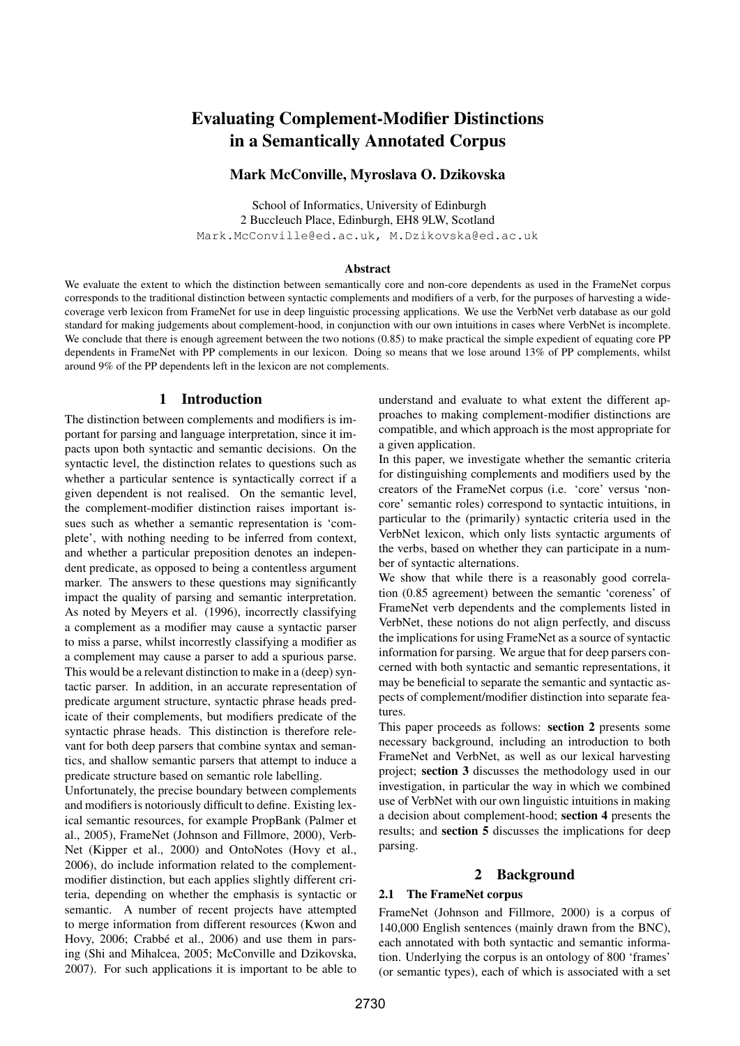# Evaluating Complement-Modifier Distinctions in a Semantically Annotated Corpus

## Mark McConville, Myroslava O. Dzikovska

School of Informatics, University of Edinburgh 2 Buccleuch Place, Edinburgh, EH8 9LW, Scotland Mark.McConville@ed.ac.uk, M.Dzikovska@ed.ac.uk

#### Abstract

We evaluate the extent to which the distinction between semantically core and non-core dependents as used in the FrameNet corpus corresponds to the traditional distinction between syntactic complements and modifiers of a verb, for the purposes of harvesting a widecoverage verb lexicon from FrameNet for use in deep linguistic processing applications. We use the VerbNet verb database as our gold standard for making judgements about complement-hood, in conjunction with our own intuitions in cases where VerbNet is incomplete. We conclude that there is enough agreement between the two notions (0.85) to make practical the simple expedient of equating core PP dependents in FrameNet with PP complements in our lexicon. Doing so means that we lose around 13% of PP complements, whilst around 9% of the PP dependents left in the lexicon are not complements.

### 1 Introduction

The distinction between complements and modifiers is important for parsing and language interpretation, since it impacts upon both syntactic and semantic decisions. On the syntactic level, the distinction relates to questions such as whether a particular sentence is syntactically correct if a given dependent is not realised. On the semantic level, the complement-modifier distinction raises important issues such as whether a semantic representation is 'complete', with nothing needing to be inferred from context, and whether a particular preposition denotes an independent predicate, as opposed to being a contentless argument marker. The answers to these questions may significantly impact the quality of parsing and semantic interpretation. As noted by Meyers et al. (1996), incorrectly classifying a complement as a modifier may cause a syntactic parser to miss a parse, whilst incorrestly classifying a modifier as a complement may cause a parser to add a spurious parse. This would be a relevant distinction to make in a (deep) syntactic parser. In addition, in an accurate representation of predicate argument structure, syntactic phrase heads predicate of their complements, but modifiers predicate of the syntactic phrase heads. This distinction is therefore relevant for both deep parsers that combine syntax and semantics, and shallow semantic parsers that attempt to induce a predicate structure based on semantic role labelling.

Unfortunately, the precise boundary between complements and modifiers is notoriously difficult to define. Existing lexical semantic resources, for example PropBank (Palmer et al., 2005), FrameNet (Johnson and Fillmore, 2000), Verb-Net (Kipper et al., 2000) and OntoNotes (Hovy et al., 2006), do include information related to the complementmodifier distinction, but each applies slightly different criteria, depending on whether the emphasis is syntactic or semantic. A number of recent projects have attempted to merge information from different resources (Kwon and Hovy, 2006; Crabbé et al., 2006) and use them in parsing (Shi and Mihalcea, 2005; McConville and Dzikovska, 2007). For such applications it is important to be able to

understand and evaluate to what extent the different approaches to making complement-modifier distinctions are compatible, and which approach is the most appropriate for a given application.

In this paper, we investigate whether the semantic criteria for distinguishing complements and modifiers used by the creators of the FrameNet corpus (i.e. 'core' versus 'noncore' semantic roles) correspond to syntactic intuitions, in particular to the (primarily) syntactic criteria used in the VerbNet lexicon, which only lists syntactic arguments of the verbs, based on whether they can participate in a number of syntactic alternations.

We show that while there is a reasonably good correlation (0.85 agreement) between the semantic 'coreness' of FrameNet verb dependents and the complements listed in VerbNet, these notions do not align perfectly, and discuss the implications for using FrameNet as a source of syntactic information for parsing. We argue that for deep parsers concerned with both syntactic and semantic representations, it may be beneficial to separate the semantic and syntactic aspects of complement/modifier distinction into separate features.

This paper proceeds as follows: section 2 presents some necessary background, including an introduction to both FrameNet and VerbNet, as well as our lexical harvesting project; section 3 discusses the methodology used in our investigation, in particular the way in which we combined use of VerbNet with our own linguistic intuitions in making a decision about complement-hood; section 4 presents the results; and section 5 discusses the implications for deep parsing.

## 2 Background

#### 2.1 The FrameNet corpus

FrameNet (Johnson and Fillmore, 2000) is a corpus of 140,000 English sentences (mainly drawn from the BNC), each annotated with both syntactic and semantic information. Underlying the corpus is an ontology of 800 'frames' (or semantic types), each of which is associated with a set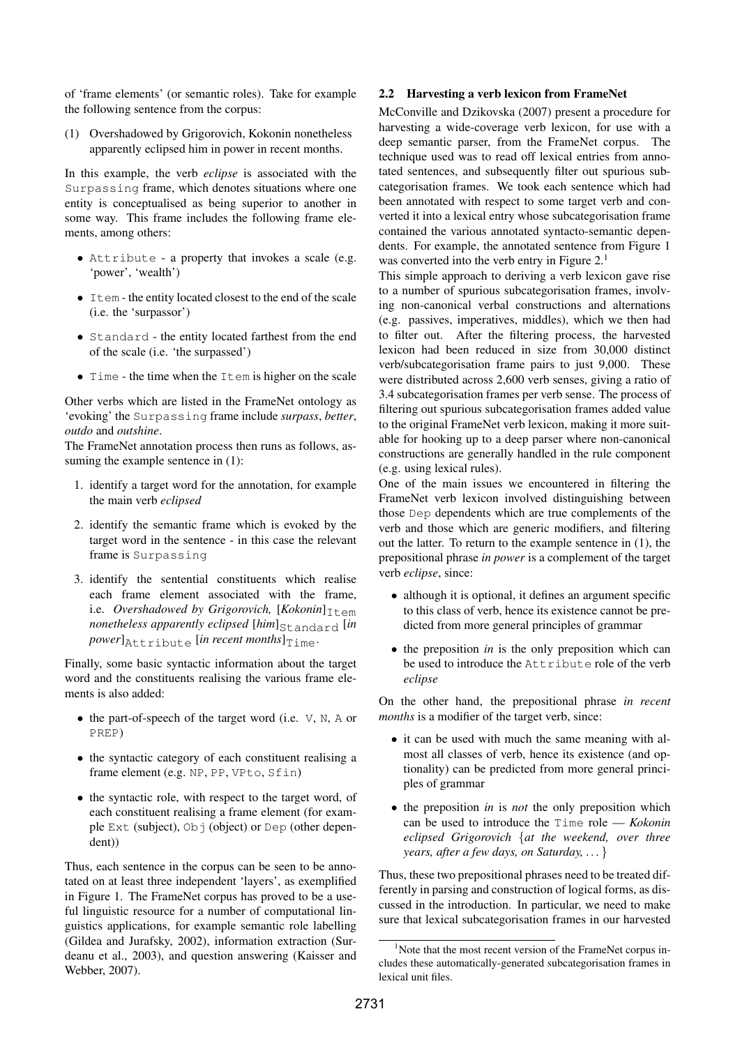of 'frame elements' (or semantic roles). Take for example the following sentence from the corpus:

(1) Overshadowed by Grigorovich, Kokonin nonetheless apparently eclipsed him in power in recent months.

In this example, the verb *eclipse* is associated with the Surpassing frame, which denotes situations where one entity is conceptualised as being superior to another in some way. This frame includes the following frame elements, among others:

- Attribute a property that invokes a scale (e.g. 'power', 'wealth')
- Item the entity located closest to the end of the scale (i.e. the 'surpassor')
- Standard the entity located farthest from the end of the scale (i.e. 'the surpassed')
- $\bullet$  Time the time when the Item is higher on the scale

Other verbs which are listed in the FrameNet ontology as 'evoking' the Surpassing frame include *surpass*, *better*, *outdo* and *outshine*.

The FrameNet annotation process then runs as follows, assuming the example sentence in  $(1)$ :

- 1. identify a target word for the annotation, for example the main verb *eclipsed*
- 2. identify the semantic frame which is evoked by the target word in the sentence - in this case the relevant frame is Surpassing
- 3. identify the sentential constituents which realise each frame element associated with the frame, i.e. *Overshadowed by Grigorovich*,  $[Kokonin]_{T \uparrow \text{em}}$ *nonetheless apparently eclipsed* [him]<sub>Standard</sub> [in  $power]$ <sub>Attribute</sub> [*in recent months*] $_{Time}$ .

Finally, some basic syntactic information about the target word and the constituents realising the various frame elements is also added:

- the part-of-speech of the target word (i.e.  $V$ , N, A or PREP)
- the syntactic category of each constituent realising a frame element (e.g. NP, PP, VPto, Sfin)
- the syntactic role, with respect to the target word, of each constituent realising a frame element (for example Ext (subject),  $Ob \uparrow$  (object) or Dep (other dependent))

Thus, each sentence in the corpus can be seen to be annotated on at least three independent 'layers', as exemplified in Figure 1. The FrameNet corpus has proved to be a useful linguistic resource for a number of computational linguistics applications, for example semantic role labelling (Gildea and Jurafsky, 2002), information extraction (Surdeanu et al., 2003), and question answering (Kaisser and Webber, 2007).

#### 2.2 Harvesting a verb lexicon from FrameNet

McConville and Dzikovska (2007) present a procedure for harvesting a wide-coverage verb lexicon, for use with a deep semantic parser, from the FrameNet corpus. The technique used was to read off lexical entries from annotated sentences, and subsequently filter out spurious subcategorisation frames. We took each sentence which had been annotated with respect to some target verb and converted it into a lexical entry whose subcategorisation frame contained the various annotated syntacto-semantic dependents. For example, the annotated sentence from Figure 1 was converted into the verb entry in Figure  $2<sup>1</sup>$ 

This simple approach to deriving a verb lexicon gave rise to a number of spurious subcategorisation frames, involving non-canonical verbal constructions and alternations (e.g. passives, imperatives, middles), which we then had to filter out. After the filtering process, the harvested lexicon had been reduced in size from 30,000 distinct verb/subcategorisation frame pairs to just 9,000. These were distributed across 2,600 verb senses, giving a ratio of 3.4 subcategorisation frames per verb sense. The process of filtering out spurious subcategorisation frames added value to the original FrameNet verb lexicon, making it more suitable for hooking up to a deep parser where non-canonical constructions are generally handled in the rule component (e.g. using lexical rules).

One of the main issues we encountered in filtering the FrameNet verb lexicon involved distinguishing between those Dep dependents which are true complements of the verb and those which are generic modifiers, and filtering out the latter. To return to the example sentence in (1), the prepositional phrase *in power* is a complement of the target verb *eclipse*, since:

- although it is optional, it defines an argument specific to this class of verb, hence its existence cannot be predicted from more general principles of grammar
- the preposition *in* is the only preposition which can be used to introduce the Attribute role of the verb *eclipse*

On the other hand, the prepositional phrase *in recent months* is a modifier of the target verb, since:

- it can be used with much the same meaning with almost all classes of verb, hence its existence (and optionality) can be predicted from more general principles of grammar
- the preposition *in* is *not* the only preposition which can be used to introduce the Time role — *Kokonin eclipsed Grigorovich* {*at the weekend, over three years, after a few days, on Saturday, . . .* }

Thus, these two prepositional phrases need to be treated differently in parsing and construction of logical forms, as discussed in the introduction. In particular, we need to make sure that lexical subcategorisation frames in our harvested

 $1$ Note that the most recent version of the FrameNet corpus includes these automatically-generated subcategorisation frames in lexical unit files.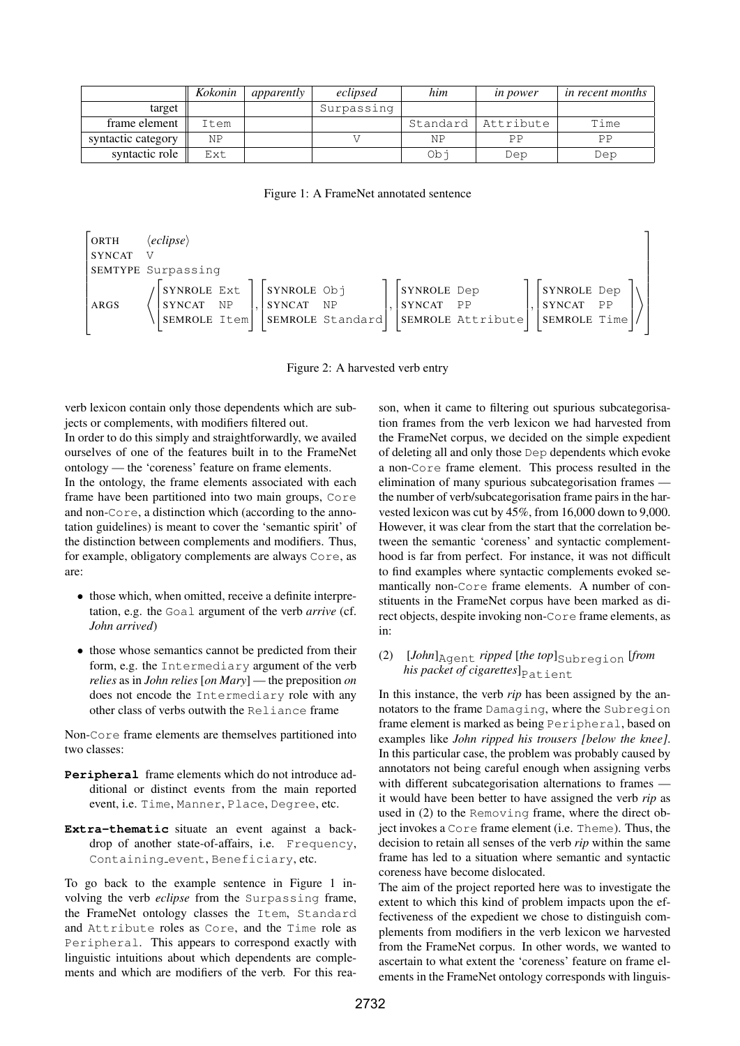|                    | Kokonin | apparently | eclipsed   | him      | <i>in power</i> | <i>in recent months</i> |
|--------------------|---------|------------|------------|----------|-----------------|-------------------------|
| target             |         |            | Surpassing |          |                 |                         |
| frame element      | Item    |            |            | Standard | Attribute       | Time                    |
| syntactic category | ΝP      |            |            | ΝP       | PP              | PP                      |
| syntactic role     | Ext     |            |            | Ob i     | Dep             | Dep                     |

Figure 1: A FrameNet annotated sentence

| ORTH          | $\langle$ eclipse $\rangle$                  |           |                          |                  |                          |                   |                                              |           |  |
|---------------|----------------------------------------------|-----------|--------------------------|------------------|--------------------------|-------------------|----------------------------------------------|-----------|--|
| <b>SYNCAT</b> |                                              |           |                          |                  |                          |                   |                                              |           |  |
|               | SEMTYPE Surpassing                           |           |                          |                  |                          |                   |                                              |           |  |
| ARGS          | SYNROLE Ext<br><b>SYNCAT</b><br>SEMROLE Item | <b>NP</b> | SYNROLE Obj<br>SYNCAT NP | SEMROLE Standard | SYNROLE Dep<br>SYNCAT PP | SEMROLE Attribute | SYNROLE Dep<br><i>SYNCAT</i><br>SEMROLE Time | <b>PP</b> |  |

Figure 2: A harvested verb entry

verb lexicon contain only those dependents which are subjects or complements, with modifiers filtered out. In order to do this simply and straightforwardly, we availed

ourselves of one of the features built in to the FrameNet ontology — the 'coreness' feature on frame elements. In the ontology, the frame elements associated with each

frame have been partitioned into two main groups, Core and non-Core, a distinction which (according to the annotation guidelines) is meant to cover the 'semantic spirit' of the distinction between complements and modifiers. Thus, for example, obligatory complements are always Core, as are:

- those which, when omitted, receive a definite interpretation, e.g. the Goal argument of the verb *arrive* (cf. *John arrived*)
- those whose semantics cannot be predicted from their form, e.g. the Intermediary argument of the verb *relies* as in *John relies* [*on Mary*] — the preposition *on* does not encode the Intermediary role with any other class of verbs outwith the Reliance frame

Non-Core frame elements are themselves partitioned into two classes:

- **Peripheral** frame elements which do not introduce additional or distinct events from the main reported event, i.e. Time, Manner, Place, Degree, etc.
- **Extra-thematic** situate an event against a backdrop of another state-of-affairs, i.e. Frequency, Containing event, Beneficiary, etc.

To go back to the example sentence in Figure 1 involving the verb *eclipse* from the Surpassing frame, the FrameNet ontology classes the Item, Standard and Attribute roles as Core, and the Time role as Peripheral. This appears to correspond exactly with linguistic intuitions about which dependents are complements and which are modifiers of the verb. For this reason, when it came to filtering out spurious subcategorisation frames from the verb lexicon we had harvested from the FrameNet corpus, we decided on the simple expedient of deleting all and only those Dep dependents which evoke a non-Core frame element. This process resulted in the elimination of many spurious subcategorisation frames the number of verb/subcategorisation frame pairs in the harvested lexicon was cut by 45%, from 16,000 down to 9,000. However, it was clear from the start that the correlation between the semantic 'coreness' and syntactic complementhood is far from perfect. For instance, it was not difficult to find examples where syntactic complements evoked semantically non-Core frame elements. A number of constituents in the FrameNet corpus have been marked as direct objects, despite invoking non-Core frame elements, as in:

### (2)  $[John]_{\text{Agent}}$  *ripped*  $[the top]_{\text{Subregion}}$  [*from his packet of cigarettes*]<sub>Patient</sub>

In this instance, the verb *rip* has been assigned by the annotators to the frame Damaging, where the Subregion frame element is marked as being Peripheral, based on examples like *John ripped his trousers [below the knee]*. In this particular case, the problem was probably caused by annotators not being careful enough when assigning verbs with different subcategorisation alternations to frames it would have been better to have assigned the verb *rip* as used in (2) to the Removing frame, where the direct object invokes a Core frame element (i.e. Theme). Thus, the decision to retain all senses of the verb *rip* within the same frame has led to a situation where semantic and syntactic coreness have become dislocated.

The aim of the project reported here was to investigate the extent to which this kind of problem impacts upon the effectiveness of the expedient we chose to distinguish complements from modifiers in the verb lexicon we harvested from the FrameNet corpus. In other words, we wanted to ascertain to what extent the 'coreness' feature on frame elements in the FrameNet ontology corresponds with linguis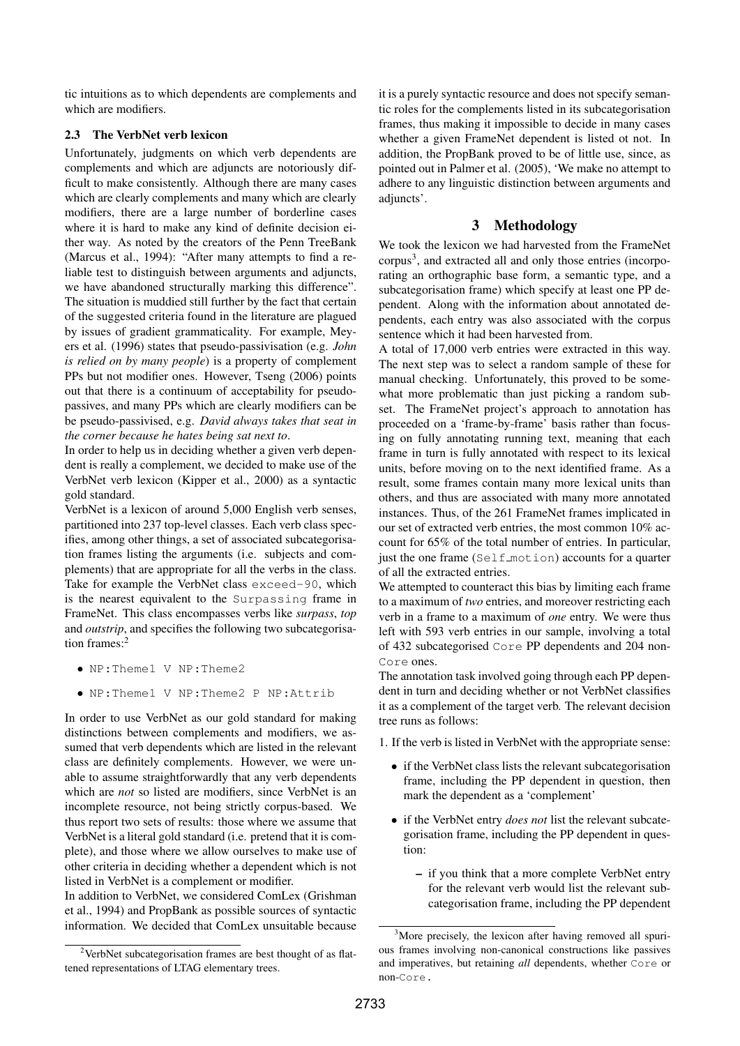tic intuitions as to which dependents are complements and which are modifiers.

#### 2.3 The VerbNet verb lexicon

Unfortunately, judgments on which verb dependents are complements and which are adjuncts are notoriously difficult to make consistently. Although there are many cases which are clearly complements and many which are clearly modifiers, there are a large number of borderline cases where it is hard to make any kind of definite decision either way. As noted by the creators of the Penn TreeBank (Marcus et al., 1994): "After many attempts to find a reliable test to distinguish between arguments and adjuncts, we have abandoned structurally marking this difference". The situation is muddied still further by the fact that certain of the suggested criteria found in the literature are plagued by issues of gradient grammaticality. For example, Meyers et al. (1996) states that pseudo-passivisation (e.g. *John is relied on by many people*) is a property of complement PPs but not modifier ones. However, Tseng (2006) points out that there is a continuum of acceptability for pseudopassives, and many PPs which are clearly modifiers can be be pseudo-passivised, e.g. *David always takes that seat in the corner because he hates being sat next to*.

In order to help us in deciding whether a given verb dependent is really a complement, we decided to make use of the VerbNet verb lexicon (Kipper et al., 2000) as a syntactic gold standard.

VerbNet is a lexicon of around 5,000 English verb senses, partitioned into 237 top-level classes. Each verb class specifies, among other things, a set of associated subcategorisation frames listing the arguments (i.e. subjects and complements) that are appropriate for all the verbs in the class. Take for example the VerbNet class exceed-90, which is the nearest equivalent to the Surpassing frame in FrameNet. This class encompasses verbs like *surpass*, *top* and *outstrip*, and specifies the following two subcategorisation frames:<sup>2</sup>

- NP:Theme1 V NP:Theme2
- NP:Theme1 V NP:Theme2 P NP:Attrib

In order to use VerbNet as our gold standard for making distinctions between complements and modifiers, we assumed that verb dependents which are listed in the relevant class are definitely complements. However, we were unable to assume straightforwardly that any verb dependents which are *not* so listed are modifiers, since VerbNet is an incomplete resource, not being strictly corpus-based. We thus report two sets of results: those where we assume that VerbNet is a literal gold standard (i.e. pretend that it is complete), and those where we allow ourselves to make use of other criteria in deciding whether a dependent which is not listed in VerbNet is a complement or modifier.

In addition to VerbNet, we considered ComLex (Grishman et al., 1994) and PropBank as possible sources of syntactic information. We decided that ComLex unsuitable because it is a purely syntactic resource and does not specify semantic roles for the complements listed in its subcategorisation frames, thus making it impossible to decide in many cases whether a given FrameNet dependent is listed ot not. In addition, the PropBank proved to be of little use, since, as pointed out in Palmer et al. (2005), 'We make no attempt to adhere to any linguistic distinction between arguments and adjuncts'.

## 3 Methodology

We took the lexicon we had harvested from the FrameNet corpus<sup>3</sup>, and extracted all and only those entries (incorporating an orthographic base form, a semantic type, and a subcategorisation frame) which specify at least one PP dependent. Along with the information about annotated dependents, each entry was also associated with the corpus sentence which it had been harvested from.

A total of 17,000 verb entries were extracted in this way. The next step was to select a random sample of these for manual checking. Unfortunately, this proved to be somewhat more problematic than just picking a random subset. The FrameNet project's approach to annotation has proceeded on a 'frame-by-frame' basis rather than focusing on fully annotating running text, meaning that each frame in turn is fully annotated with respect to its lexical units, before moving on to the next identified frame. As a result, some frames contain many more lexical units than others, and thus are associated with many more annotated instances. Thus, of the 261 FrameNet frames implicated in our set of extracted verb entries, the most common 10% account for 65% of the total number of entries. In particular, just the one frame (Self motion) accounts for a quarter of all the extracted entries.

We attempted to counteract this bias by limiting each frame to a maximum of *two* entries, and moreover restricting each verb in a frame to a maximum of *one* entry. We were thus left with 593 verb entries in our sample, involving a total of 432 subcategorised Core PP dependents and 204 non-Core ones.

The annotation task involved going through each PP dependent in turn and deciding whether or not VerbNet classifies it as a complement of the target verb. The relevant decision tree runs as follows:

1. If the verb is listed in VerbNet with the appropriate sense:

- if the VerbNet class lists the relevant subcategorisation frame, including the PP dependent in question, then mark the dependent as a 'complement'
- if the VerbNet entry *does not* list the relevant subcategorisation frame, including the PP dependent in question:
	- if you think that a more complete VerbNet entry for the relevant verb would list the relevant subcategorisation frame, including the PP dependent

<sup>2</sup>VerbNet subcategorisation frames are best thought of as flattened representations of LTAG elementary trees.

<sup>&</sup>lt;sup>3</sup>More precisely, the lexicon after having removed all spurious frames involving non-canonical constructions like passives and imperatives, but retaining *all* dependents, whether Core or non-Core.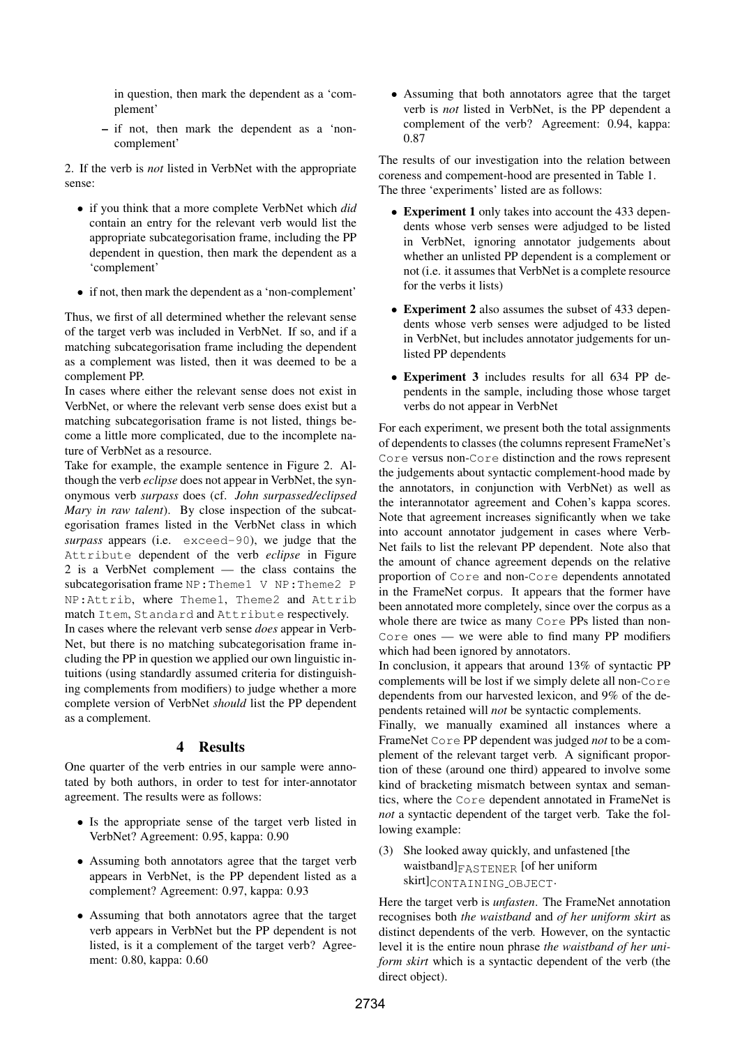in question, then mark the dependent as a 'complement'

– if not, then mark the dependent as a 'noncomplement'

2. If the verb is *not* listed in VerbNet with the appropriate sense:

- if you think that a more complete VerbNet which *did* contain an entry for the relevant verb would list the appropriate subcategorisation frame, including the PP dependent in question, then mark the dependent as a 'complement'
- if not, then mark the dependent as a 'non-complement'

Thus, we first of all determined whether the relevant sense of the target verb was included in VerbNet. If so, and if a matching subcategorisation frame including the dependent as a complement was listed, then it was deemed to be a complement PP.

In cases where either the relevant sense does not exist in VerbNet, or where the relevant verb sense does exist but a matching subcategorisation frame is not listed, things become a little more complicated, due to the incomplete nature of VerbNet as a resource.

Take for example, the example sentence in Figure 2. Although the verb *eclipse* does not appear in VerbNet, the synonymous verb *surpass* does (cf. *John surpassed/eclipsed Mary in raw talent*). By close inspection of the subcategorisation frames listed in the VerbNet class in which *surpass* appears (i.e. exceed-90), we judge that the Attribute dependent of the verb *eclipse* in Figure 2 is a VerbNet complement — the class contains the subcategorisation frame NP: Theme1 V NP: Theme2 P NP:Attrib, where Theme1, Theme2 and Attrib match Item, Standard and Attribute respectively.

In cases where the relevant verb sense *does* appear in Verb-Net, but there is no matching subcategorisation frame including the PP in question we applied our own linguistic intuitions (using standardly assumed criteria for distinguishing complements from modifiers) to judge whether a more complete version of VerbNet *should* list the PP dependent as a complement.

## 4 Results

One quarter of the verb entries in our sample were annotated by both authors, in order to test for inter-annotator agreement. The results were as follows:

- Is the appropriate sense of the target verb listed in VerbNet? Agreement: 0.95, kappa: 0.90
- Assuming both annotators agree that the target verb appears in VerbNet, is the PP dependent listed as a complement? Agreement: 0.97, kappa: 0.93
- Assuming that both annotators agree that the target verb appears in VerbNet but the PP dependent is not listed, is it a complement of the target verb? Agreement: 0.80, kappa: 0.60

• Assuming that both annotators agree that the target verb is *not* listed in VerbNet, is the PP dependent a complement of the verb? Agreement: 0.94, kappa: 0.87

The results of our investigation into the relation between coreness and compement-hood are presented in Table 1. The three 'experiments' listed are as follows:

- Experiment 1 only takes into account the 433 dependents whose verb senses were adjudged to be listed in VerbNet, ignoring annotator judgements about whether an unlisted PP dependent is a complement or not (i.e. it assumes that VerbNet is a complete resource for the verbs it lists)
- Experiment 2 also assumes the subset of 433 dependents whose verb senses were adjudged to be listed in VerbNet, but includes annotator judgements for unlisted PP dependents
- Experiment 3 includes results for all 634 PP dependents in the sample, including those whose target verbs do not appear in VerbNet

For each experiment, we present both the total assignments of dependents to classes (the columns represent FrameNet's Core versus non-Core distinction and the rows represent the judgements about syntactic complement-hood made by the annotators, in conjunction with VerbNet) as well as the interannotator agreement and Cohen's kappa scores. Note that agreement increases significantly when we take into account annotator judgement in cases where Verb-Net fails to list the relevant PP dependent. Note also that the amount of chance agreement depends on the relative proportion of Core and non-Core dependents annotated in the FrameNet corpus. It appears that the former have been annotated more completely, since over the corpus as a whole there are twice as many Core PPs listed than non-Core ones — we were able to find many PP modifiers which had been ignored by annotators.

In conclusion, it appears that around 13% of syntactic PP complements will be lost if we simply delete all non-Core dependents from our harvested lexicon, and 9% of the dependents retained will *not* be syntactic complements.

Finally, we manually examined all instances where a FrameNet Core PP dependent was judged *not* to be a complement of the relevant target verb. A significant proportion of these (around one third) appeared to involve some kind of bracketing mismatch between syntax and semantics, where the Core dependent annotated in FrameNet is *not* a syntactic dependent of the target verb. Take the following example:

(3) She looked away quickly, and unfastened [the waistband $|F_{\text{A} \text{S} \text{T} \text{ENER}}|$  [of her uniform skirt]CONTAINING OBJECT.

Here the target verb is *unfasten*. The FrameNet annotation recognises both *the waistband* and *of her uniform skirt* as distinct dependents of the verb. However, on the syntactic level it is the entire noun phrase *the waistband of her uniform skirt* which is a syntactic dependent of the verb (the direct object).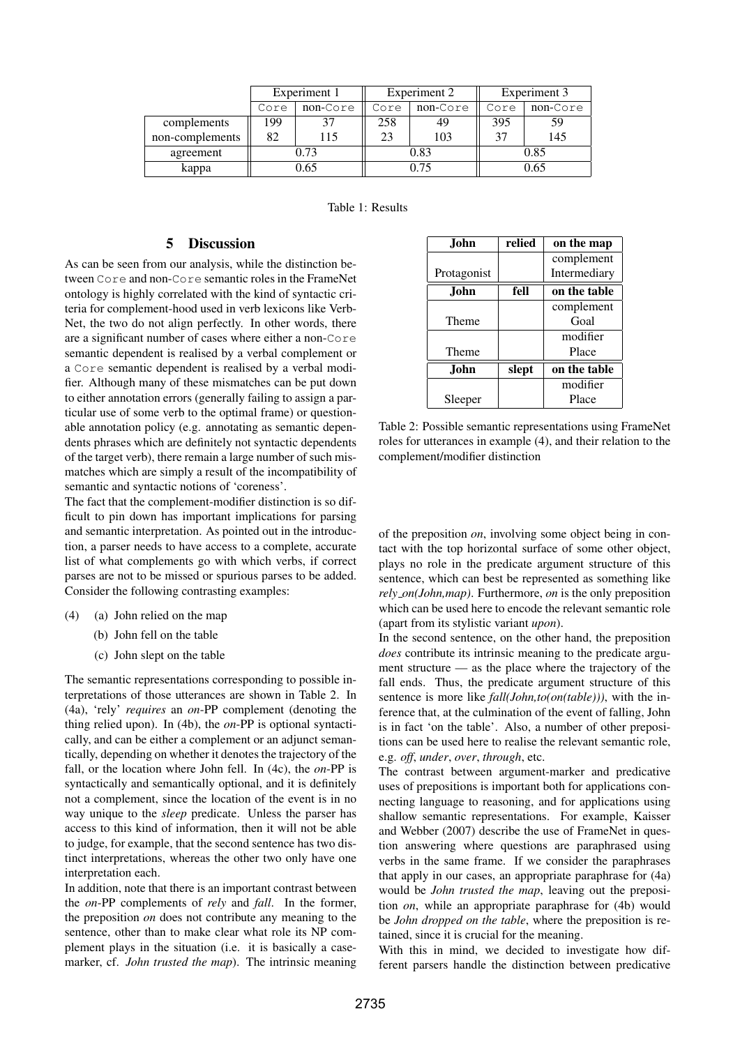|                 |      | Experiment 1 |      | Experiment 2 | Experiment 3 |          |  |
|-----------------|------|--------------|------|--------------|--------------|----------|--|
|                 | Core | non-Core     | Core | non-Core     | Core         | non-Core |  |
| complements     | 99   |              | 258  | 49           | 395          | 59       |  |
| non-complements | 82   | 115          | 23   | 103          | 37           | 145      |  |
| agreement       | 0.73 |              |      | 0.83         | 0.85         |          |  |
| kappa           |      | 0.65         |      | 0.75         | 0.65         |          |  |

Table 1: Results

## 5 Discussion

As can be seen from our analysis, while the distinction between Core and non-Core semantic roles in the FrameNet ontology is highly correlated with the kind of syntactic criteria for complement-hood used in verb lexicons like Verb-Net, the two do not align perfectly. In other words, there are a significant number of cases where either a non-Core semantic dependent is realised by a verbal complement or a Core semantic dependent is realised by a verbal modifier. Although many of these mismatches can be put down to either annotation errors (generally failing to assign a particular use of some verb to the optimal frame) or questionable annotation policy (e.g. annotating as semantic dependents phrases which are definitely not syntactic dependents of the target verb), there remain a large number of such mismatches which are simply a result of the incompatibility of semantic and syntactic notions of 'coreness'.

The fact that the complement-modifier distinction is so difficult to pin down has important implications for parsing and semantic interpretation. As pointed out in the introduction, a parser needs to have access to a complete, accurate list of what complements go with which verbs, if correct parses are not to be missed or spurious parses to be added. Consider the following contrasting examples:

- (4) (a) John relied on the map
	- (b) John fell on the table
	- (c) John slept on the table

The semantic representations corresponding to possible interpretations of those utterances are shown in Table 2. In (4a), 'rely' *requires* an *on*-PP complement (denoting the thing relied upon). In (4b), the *on*-PP is optional syntactically, and can be either a complement or an adjunct semantically, depending on whether it denotes the trajectory of the fall, or the location where John fell. In (4c), the *on*-PP is syntactically and semantically optional, and it is definitely not a complement, since the location of the event is in no way unique to the *sleep* predicate. Unless the parser has access to this kind of information, then it will not be able to judge, for example, that the second sentence has two distinct interpretations, whereas the other two only have one interpretation each.

In addition, note that there is an important contrast between the *on*-PP complements of *rely* and *fall*. In the former, the preposition *on* does not contribute any meaning to the sentence, other than to make clear what role its NP complement plays in the situation (i.e. it is basically a casemarker, cf. *John trusted the map*). The intrinsic meaning

| John.       | relied | on the map   |
|-------------|--------|--------------|
|             |        | complement   |
| Protagonist |        | Intermediary |
| John.       | fell   | on the table |
|             |        | complement   |
| Theme       |        | Goal         |
|             |        | modifier     |
| Theme       |        | Place        |
| John.       | slept  | on the table |
|             |        | modifier     |
| Sleeper     |        | Place        |

Table 2: Possible semantic representations using FrameNet roles for utterances in example (4), and their relation to the complement/modifier distinction

of the preposition *on*, involving some object being in contact with the top horizontal surface of some other object, plays no role in the predicate argument structure of this sentence, which can best be represented as something like *rely on(John,map)*. Furthermore, *on* is the only preposition which can be used here to encode the relevant semantic role (apart from its stylistic variant *upon*).

In the second sentence, on the other hand, the preposition *does* contribute its intrinsic meaning to the predicate argument structure — as the place where the trajectory of the fall ends. Thus, the predicate argument structure of this sentence is more like *fall(John,to(on(table)))*, with the inference that, at the culmination of the event of falling, John is in fact 'on the table'. Also, a number of other prepositions can be used here to realise the relevant semantic role, e.g. *off*, *under*, *over*, *through*, etc.

The contrast between argument-marker and predicative uses of prepositions is important both for applications connecting language to reasoning, and for applications using shallow semantic representations. For example, Kaisser and Webber (2007) describe the use of FrameNet in question answering where questions are paraphrased using verbs in the same frame. If we consider the paraphrases that apply in our cases, an appropriate paraphrase for (4a) would be *John trusted the map*, leaving out the preposition *on*, while an appropriate paraphrase for (4b) would be *John dropped on the table*, where the preposition is retained, since it is crucial for the meaning.

With this in mind, we decided to investigate how different parsers handle the distinction between predicative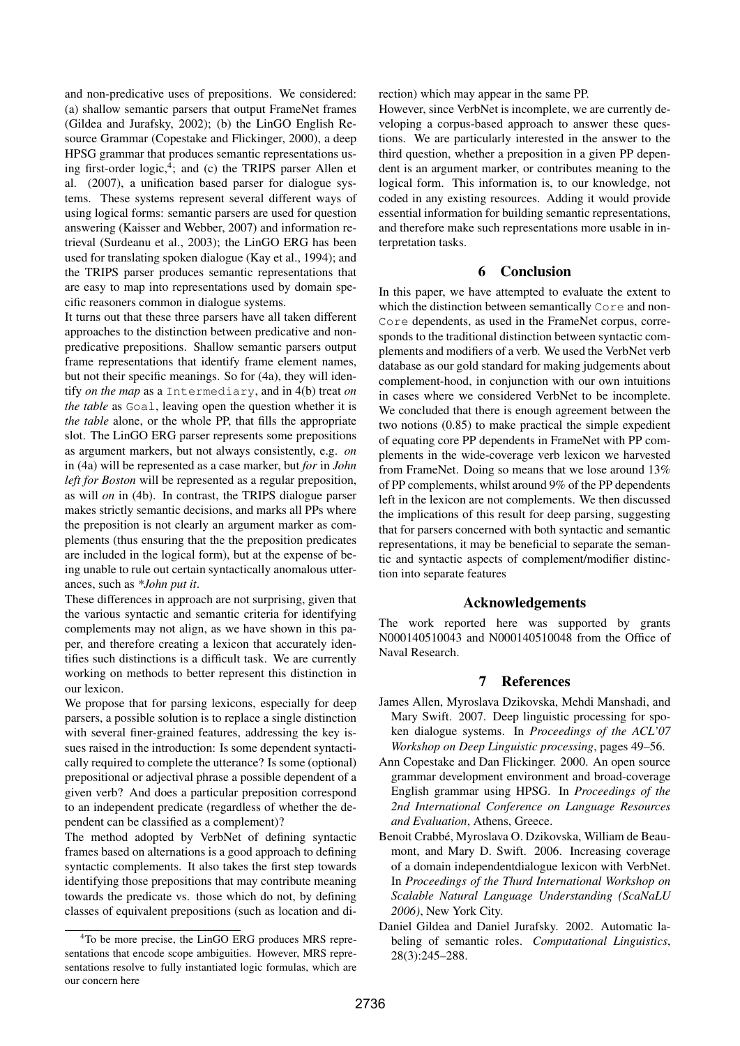and non-predicative uses of prepositions. We considered: (a) shallow semantic parsers that output FrameNet frames (Gildea and Jurafsky, 2002); (b) the LinGO English Resource Grammar (Copestake and Flickinger, 2000), a deep HPSG grammar that produces semantic representations using first-order logic,<sup>4</sup>; and (c) the TRIPS parser Allen et al. (2007), a unification based parser for dialogue systems. These systems represent several different ways of using logical forms: semantic parsers are used for question answering (Kaisser and Webber, 2007) and information retrieval (Surdeanu et al., 2003); the LinGO ERG has been used for translating spoken dialogue (Kay et al., 1994); and the TRIPS parser produces semantic representations that are easy to map into representations used by domain specific reasoners common in dialogue systems.

It turns out that these three parsers have all taken different approaches to the distinction between predicative and nonpredicative prepositions. Shallow semantic parsers output frame representations that identify frame element names, but not their specific meanings. So for (4a), they will identify *on the map* as a Intermediary, and in 4(b) treat *on the table* as Goal, leaving open the question whether it is *the table* alone, or the whole PP, that fills the appropriate slot. The LinGO ERG parser represents some prepositions as argument markers, but not always consistently, e.g. *on* in (4a) will be represented as a case marker, but *for* in *John left for Boston* will be represented as a regular preposition, as will *on* in (4b). In contrast, the TRIPS dialogue parser makes strictly semantic decisions, and marks all PPs where the preposition is not clearly an argument marker as complements (thus ensuring that the the preposition predicates are included in the logical form), but at the expense of being unable to rule out certain syntactically anomalous utterances, such as *\*John put it*.

These differences in approach are not surprising, given that the various syntactic and semantic criteria for identifying complements may not align, as we have shown in this paper, and therefore creating a lexicon that accurately identifies such distinctions is a difficult task. We are currently working on methods to better represent this distinction in our lexicon.

We propose that for parsing lexicons, especially for deep parsers, a possible solution is to replace a single distinction with several finer-grained features, addressing the key issues raised in the introduction: Is some dependent syntactically required to complete the utterance? Is some (optional) prepositional or adjectival phrase a possible dependent of a given verb? And does a particular preposition correspond to an independent predicate (regardless of whether the dependent can be classified as a complement)?

The method adopted by VerbNet of defining syntactic frames based on alternations is a good approach to defining syntactic complements. It also takes the first step towards identifying those prepositions that may contribute meaning towards the predicate vs. those which do not, by defining classes of equivalent prepositions (such as location and direction) which may appear in the same PP.

However, since VerbNet is incomplete, we are currently developing a corpus-based approach to answer these questions. We are particularly interested in the answer to the third question, whether a preposition in a given PP dependent is an argument marker, or contributes meaning to the logical form. This information is, to our knowledge, not coded in any existing resources. Adding it would provide essential information for building semantic representations, and therefore make such representations more usable in interpretation tasks.

#### 6 Conclusion

In this paper, we have attempted to evaluate the extent to which the distinction between semantically Core and non-Core dependents, as used in the FrameNet corpus, corresponds to the traditional distinction between syntactic complements and modifiers of a verb. We used the VerbNet verb database as our gold standard for making judgements about complement-hood, in conjunction with our own intuitions in cases where we considered VerbNet to be incomplete. We concluded that there is enough agreement between the two notions (0.85) to make practical the simple expedient of equating core PP dependents in FrameNet with PP complements in the wide-coverage verb lexicon we harvested from FrameNet. Doing so means that we lose around 13% of PP complements, whilst around 9% of the PP dependents left in the lexicon are not complements. We then discussed the implications of this result for deep parsing, suggesting that for parsers concerned with both syntactic and semantic representations, it may be beneficial to separate the semantic and syntactic aspects of complement/modifier distinction into separate features

#### Acknowledgements

The work reported here was supported by grants N000140510043 and N000140510048 from the Office of Naval Research.

#### 7 References

- James Allen, Myroslava Dzikovska, Mehdi Manshadi, and Mary Swift. 2007. Deep linguistic processing for spoken dialogue systems. In *Proceedings of the ACL'07 Workshop on Deep Linguistic processing*, pages 49–56.
- Ann Copestake and Dan Flickinger. 2000. An open source grammar development environment and broad-coverage English grammar using HPSG. In *Proceedings of the 2nd International Conference on Language Resources and Evaluation*, Athens, Greece.
- Benoit Crabbe, Myroslava O. Dzikovska, William de Beau- ´ mont, and Mary D. Swift. 2006. Increasing coverage of a domain independentdialogue lexicon with VerbNet. In *Proceedings of the Thurd International Workshop on Scalable Natural Language Understanding (ScaNaLU 2006)*, New York City.
- Daniel Gildea and Daniel Jurafsky. 2002. Automatic labeling of semantic roles. *Computational Linguistics*, 28(3):245–288.

<sup>4</sup>To be more precise, the LinGO ERG produces MRS representations that encode scope ambiguities. However, MRS representations resolve to fully instantiated logic formulas, which are our concern here